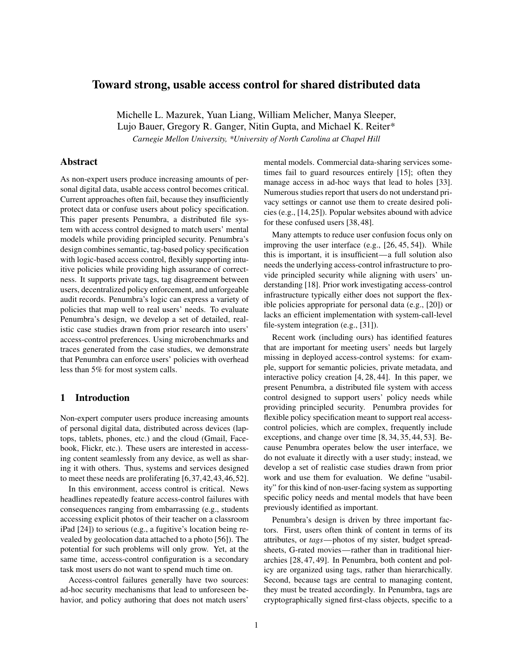# Toward strong, usable access control for shared distributed data

Michelle L. Mazurek, Yuan Liang, William Melicher, Manya Sleeper, Lujo Bauer, Gregory R. Ganger, Nitin Gupta, and Michael K. Reiter\* *Carnegie Mellon University, \*University of North Carolina at Chapel Hill*

## Abstract

As non-expert users produce increasing amounts of personal digital data, usable access control becomes critical. Current approaches often fail, because they insufficiently protect data or confuse users about policy specification. This paper presents Penumbra, a distributed file system with access control designed to match users' mental models while providing principled security. Penumbra's design combines semantic, tag-based policy specification with logic-based access control, flexibly supporting intuitive policies while providing high assurance of correctness. It supports private tags, tag disagreement between users, decentralized policy enforcement, and unforgeable audit records. Penumbra's logic can express a variety of policies that map well to real users' needs. To evaluate Penumbra's design, we develop a set of detailed, realistic case studies drawn from prior research into users' access-control preferences. Using microbenchmarks and traces generated from the case studies, we demonstrate that Penumbra can enforce users' policies with overhead less than 5% for most system calls.

#### 1 Introduction

Non-expert computer users produce increasing amounts of personal digital data, distributed across devices (laptops, tablets, phones, etc.) and the cloud (Gmail, Facebook, Flickr, etc.). These users are interested in accessing content seamlessly from any device, as well as sharing it with others. Thus, systems and services designed to meet these needs are proliferating [\[6,](#page-12-0)[37,](#page-13-0)[42,](#page-13-1)[43,](#page-13-2)[46,](#page-13-3)[52\]](#page-13-4).

In this environment, access control is critical. News headlines repeatedly feature access-control failures with consequences ranging from embarrassing (e.g., students accessing explicit photos of their teacher on a classroom iPad [\[24\]](#page-12-1)) to serious (e.g., a fugitive's location being revealed by geolocation data attached to a photo [\[56\]](#page-14-0)). The potential for such problems will only grow. Yet, at the same time, access-control configuration is a secondary task most users do not want to spend much time on.

Access-control failures generally have two sources: ad-hoc security mechanisms that lead to unforeseen behavior, and policy authoring that does not match users'

mental models. Commercial data-sharing services sometimes fail to guard resources entirely [\[15\]](#page-12-2); often they manage access in ad-hoc ways that lead to holes [\[33\]](#page-13-5). Numerous studies report that users do not understand privacy settings or cannot use them to create desired policies (e.g., [\[14,](#page-12-3)[25\]](#page-12-4)). Popular websites abound with advice for these confused users [\[38,](#page-13-6) [48\]](#page-13-7).

Many attempts to reduce user confusion focus only on improving the user interface (e.g., [\[26,](#page-12-5) [45,](#page-13-8) [54\]](#page-14-1)). While this is important, it is insufficient—a full solution also needs the underlying access-control infrastructure to provide principled security while aligning with users' understanding [\[18\]](#page-12-6). Prior work investigating access-control infrastructure typically either does not support the flexible policies appropriate for personal data (e.g., [\[20\]](#page-12-7)) or lacks an efficient implementation with system-call-level file-system integration (e.g., [\[31\]](#page-13-9)).

Recent work (including ours) has identified features that are important for meeting users' needs but largely missing in deployed access-control systems: for example, support for semantic policies, private metadata, and interactive policy creation [\[4,](#page-12-8) [28,](#page-13-10) [44\]](#page-13-11). In this paper, we present Penumbra, a distributed file system with access control designed to support users' policy needs while providing principled security. Penumbra provides for flexible policy specification meant to support real accesscontrol policies, which are complex, frequently include exceptions, and change over time [\[8,](#page-12-9) [34,](#page-13-12) [35,](#page-13-13) [44,](#page-13-11) [53\]](#page-13-14). Because Penumbra operates below the user interface, we do not evaluate it directly with a user study; instead, we develop a set of realistic case studies drawn from prior work and use them for evaluation. We define "usability" for this kind of non-user-facing system as supporting specific policy needs and mental models that have been previously identified as important.

Penumbra's design is driven by three important factors. First, users often think of content in terms of its attributes, or *tags*—photos of my sister, budget spreadsheets, G-rated movies—rather than in traditional hierarchies [\[28,](#page-13-10) [47,](#page-13-15) [49\]](#page-13-16). In Penumbra, both content and policy are organized using tags, rather than hierarchically. Second, because tags are central to managing content, they must be treated accordingly. In Penumbra, tags are cryptographically signed first-class objects, specific to a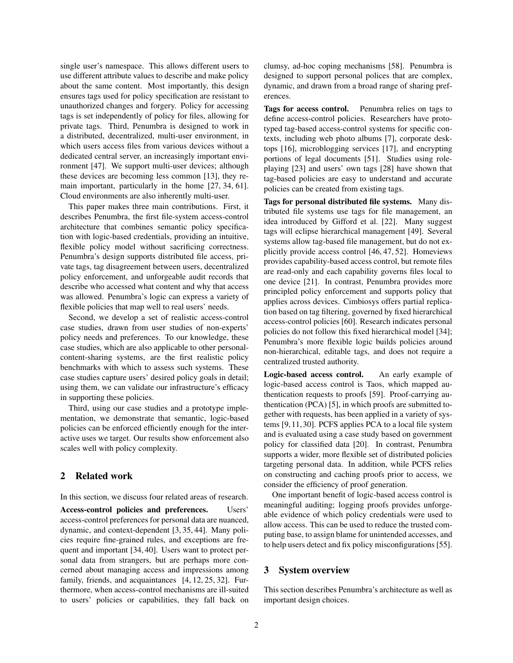single user's namespace. This allows different users to use different attribute values to describe and make policy about the same content. Most importantly, this design ensures tags used for policy specification are resistant to unauthorized changes and forgery. Policy for accessing tags is set independently of policy for files, allowing for private tags. Third, Penumbra is designed to work in a distributed, decentralized, multi-user environment, in which users access files from various devices without a dedicated central server, an increasingly important environment [\[47\]](#page-13-15). We support multi-user devices; although these devices are becoming less common [\[13\]](#page-12-10), they remain important, particularly in the home [\[27,](#page-13-17) [34,](#page-13-12) [61\]](#page-14-2). Cloud environments are also inherently multi-user.

This paper makes three main contributions. First, it describes Penumbra, the first file-system access-control architecture that combines semantic policy specification with logic-based credentials, providing an intuitive, flexible policy model without sacrificing correctness. Penumbra's design supports distributed file access, private tags, tag disagreement between users, decentralized policy enforcement, and unforgeable audit records that describe who accessed what content and why that access was allowed. Penumbra's logic can express a variety of flexible policies that map well to real users' needs.

Second, we develop a set of realistic access-control case studies, drawn from user studies of non-experts' policy needs and preferences. To our knowledge, these case studies, which are also applicable to other personalcontent-sharing systems, are the first realistic policy benchmarks with which to assess such systems. These case studies capture users' desired policy goals in detail; using them, we can validate our infrastructure's efficacy in supporting these policies.

Third, using our case studies and a prototype implementation, we demonstrate that semantic, logic-based policies can be enforced efficiently enough for the interactive uses we target. Our results show enforcement also scales well with policy complexity.

#### 2 Related work

In this section, we discuss four related areas of research.

Access-control policies and preferences. Users' access-control preferences for personal data are nuanced, dynamic, and context-dependent [\[3,](#page-12-11) [35,](#page-13-13) [44\]](#page-13-11). Many policies require fine-grained rules, and exceptions are frequent and important [\[34,](#page-13-12) [40\]](#page-13-18). Users want to protect personal data from strangers, but are perhaps more concerned about managing access and impressions among family, friends, and acquaintances [\[4,](#page-12-8) [12,](#page-12-12) [25,](#page-12-4) [32\]](#page-13-19). Furthermore, when access-control mechanisms are ill-suited to users' policies or capabilities, they fall back on clumsy, ad-hoc coping mechanisms [\[58\]](#page-14-3). Penumbra is designed to support personal polices that are complex, dynamic, and drawn from a broad range of sharing preferences.

Tags for access control. Penumbra relies on tags to define access-control policies. Researchers have prototyped tag-based access-control systems for specific contexts, including web photo albums [\[7\]](#page-12-13), corporate desktops [\[16\]](#page-12-14), microblogging services [\[17\]](#page-12-15), and encrypting portions of legal documents [\[51\]](#page-13-20). Studies using roleplaying [\[23\]](#page-12-16) and users' own tags [\[28\]](#page-13-10) have shown that tag-based policies are easy to understand and accurate policies can be created from existing tags.

Tags for personal distributed file systems. Many distributed file systems use tags for file management, an idea introduced by Gifford et al. [\[22\]](#page-12-17). Many suggest tags will eclipse hierarchical management [\[49\]](#page-13-16). Several systems allow tag-based file management, but do not explicitly provide access control [\[46,](#page-13-3) [47,](#page-13-15) [52\]](#page-13-4). Homeviews provides capability-based access control, but remote files are read-only and each capability governs files local to one device [\[21\]](#page-12-18). In contrast, Penumbra provides more principled policy enforcement and supports policy that applies across devices. Cimbiosys offers partial replication based on tag filtering, governed by fixed hierarchical access-control policies [\[60\]](#page-14-4). Research indicates personal policies do not follow this fixed hierarchical model [\[34\]](#page-13-12); Penumbra's more flexible logic builds policies around non-hierarchical, editable tags, and does not require a centralized trusted authority.

Logic-based access control. An early example of logic-based access control is Taos, which mapped authentication requests to proofs [\[59\]](#page-14-5). Proof-carrying authentication (PCA) [\[5\]](#page-12-19), in which proofs are submitted together with requests, has been applied in a variety of systems [\[9,](#page-12-20)[11,](#page-12-21)[30\]](#page-13-21). PCFS applies PCA to a local file system and is evaluated using a case study based on government policy for classified data [\[20\]](#page-12-7). In contrast, Penumbra supports a wider, more flexible set of distributed policies targeting personal data. In addition, while PCFS relies on constructing and caching proofs prior to access, we consider the efficiency of proof generation.

One important benefit of logic-based access control is meaningful auditing; logging proofs provides unforgeable evidence of which policy credentials were used to allow access. This can be used to reduce the trusted computing base, to assign blame for unintended accesses, and to help users detect and fix policy misconfigurations [\[55\]](#page-14-6).

## 3 System overview

This section describes Penumbra's architecture as well as important design choices.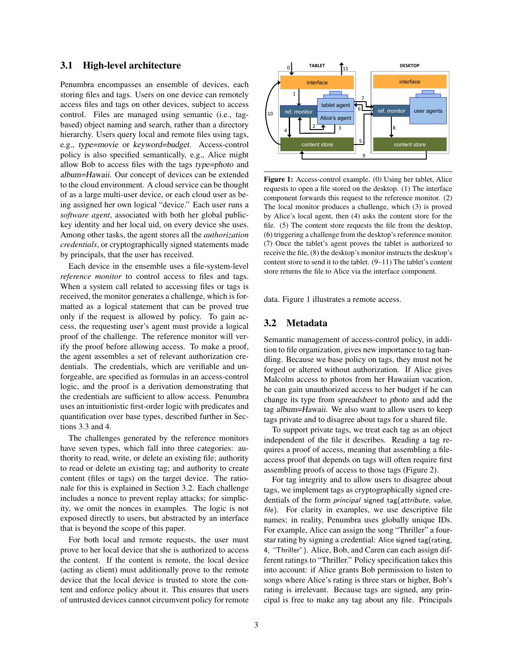#### 3.1 High-level architecture

Penumbra encompasses an ensemble of devices, each storing files and tags. Users on one device can remotely access files and tags on other devices, subject to access control. Files are managed using semantic (i.e., tagbased) object naming and search, rather than a directory hierarchy. Users query local and remote files using tags, e.g., type=movie or keyword=budget. Access-control policy is also specified semantically, e.g., Alice might allow Bob to access files with the tags type=photo and album=Hawaii. Our concept of devices can be extended to the cloud environment. A cloud service can be thought of as a large multi-user device, or each cloud user as being assigned her own logical "device." Each user runs a *software agent*, associated with both her global publickey identity and her local uid, on every device she uses. Among other tasks, the agent stores all the *authorization credentials*, or cryptographically signed statements made by principals, that the user has received.

Each device in the ensemble uses a file-system-level *reference monitor* to control access to files and tags. When a system call related to accessing files or tags is received, the monitor generates a challenge, which is formatted as a logical statement that can be proved true only if the request is allowed by policy. To gain access, the requesting user's agent must provide a logical proof of the challenge. The reference monitor will verify the proof before allowing access. To make a proof, the agent assembles a set of relevant authorization credentials. The credentials, which are verifiable and unforgeable, are specified as formulas in an access-control logic, and the proof is a derivation demonstrating that the credentials are sufficient to allow access. Penumbra uses an intuitionistic first-order logic with predicates and quantification over base types, described further in Sections [3.3](#page-3-0) and [4.](#page-4-0)

The challenges generated by the reference monitors have seven types, which fall into three categories: authority to read, write, or delete an existing file; authority to read or delete an existing tag; and authority to create content (files or tags) on the target device. The rationale for this is explained in Section [3.2.](#page-2-0) Each challenge includes a nonce to prevent replay attacks; for simplicity, we omit the nonces in examples. The logic is not exposed directly to users, but abstracted by an interface that is beyond the scope of this paper.

For both local and remote requests, the user must prove to her local device that she is authorized to access the content. If the content is remote, the local device (acting as client) must additionally prove to the remote device that the local device is trusted to store the content and enforce policy about it. This ensures that users of untrusted devices cannot circumvent policy for remote

<span id="page-2-1"></span>

Figure 1: Access-control example. (0) Using her tablet, Alice requests to open a file stored on the desktop. (1) The interface component forwards this request to the reference monitor. (2) The local monitor produces a challenge, which (3) is proved by Alice's local agent, then (4) asks the content store for the file. (5) The content store requests the file from the desktop, (6) triggering a challenge from the desktop's reference monitor. (7) Once the tablet's agent proves the tablet is authorized to receive the file, (8) the desktop's monitor instructs the desktop's content store to send it to the tablet. (9–11) The tablet's content store returns the file to Alice via the interface component.

data. Figure [1](#page-2-1) illustrates a remote access.

#### <span id="page-2-0"></span>3.2 Metadata

Semantic management of access-control policy, in addition to file organization, gives new importance to tag handling. Because we base policy on tags, they must not be forged or altered without authorization. If Alice gives Malcolm access to photos from her Hawaiian vacation, he can gain unauthorized access to her budget if he can change its type from spreadsheet to photo and add the tag album=Hawaii. We also want to allow users to keep tags private and to disagree about tags for a shared file.

To support private tags, we treat each tag as an object independent of the file it describes. Reading a tag requires a proof of access, meaning that assembling a fileaccess proof that depends on tags will often require first assembling proofs of access to those tags (Figure [2\)](#page-3-1).

For tag integrity and to allow users to disagree about tags, we implement tags as cryptographically signed credentials of the form principal signed tag(attribute, value, file). For clarity in examples, we use descriptive file names; in reality, Penumbra uses globally unique IDs. For example, Alice can assign the song "Thriller" a fourstar rating by signing a credential: Alice signed tag(rating, 4, "Thriller"). Alice, Bob, and Caren can each assign different ratings to "Thriller." Policy specification takes this into account: if Alice grants Bob permission to listen to songs where Alice's rating is three stars or higher, Bob's rating is irrelevant. Because tags are signed, any principal is free to make any tag about any file. Principals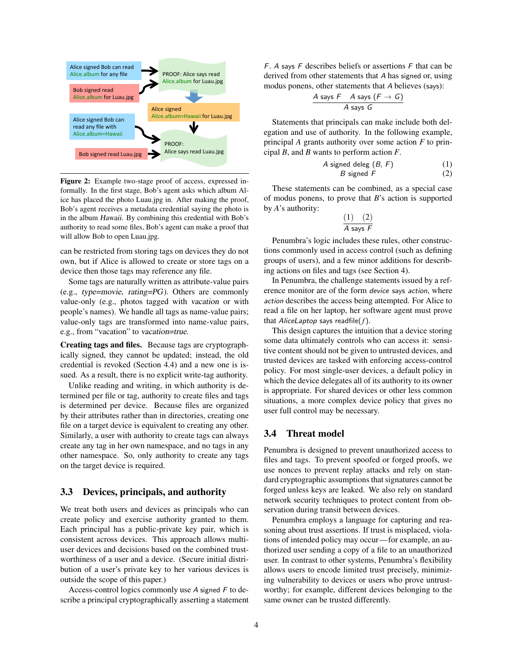<span id="page-3-1"></span>

Figure 2: Example two-stage proof of access, expressed informally. In the first stage, Bob's agent asks which album Alice has placed the photo Luau.jpg in. After making the proof, Bob's agent receives a metadata credential saying the photo is in the album Hawaii. By combining this credential with Bob's authority to read some files, Bob's agent can make a proof that will allow Bob to open Luau.jpg.

can be restricted from storing tags on devices they do not own, but if Alice is allowed to create or store tags on a device then those tags may reference any file.

Some tags are naturally written as attribute-value pairs (e.g., type=movie, rating=PG). Others are commonly value-only (e.g., photos tagged with vacation or with people's names). We handle all tags as name-value pairs; value-only tags are transformed into name-value pairs, e.g., from "vacation" to vacation=true.

Creating tags and files. Because tags are cryptographically signed, they cannot be updated; instead, the old credential is revoked (Section [4.4\)](#page-5-0) and a new one is issued. As a result, there is no explicit write-tag authority.

Unlike reading and writing, in which authority is determined per file or tag, authority to create files and tags is determined per device. Because files are organized by their attributes rather than in directories, creating one file on a target device is equivalent to creating any other. Similarly, a user with authority to create tags can always create any tag in her own namespace, and no tags in any other namespace. So, only authority to create any tags on the target device is required.

#### <span id="page-3-0"></span>3.3 Devices, principals, and authority

We treat both users and devices as principals who can create policy and exercise authority granted to them. Each principal has a public-private key pair, which is consistent across devices. This approach allows multiuser devices and decisions based on the combined trustworthiness of a user and a device. (Secure initial distribution of a user's private key to her various devices is outside the scope of this paper.)

Access-control logics commonly use A signed F to describe a principal cryptographically asserting a statement  $F.$  A says  $F$  describes beliefs or assertions  $F$  that can be derived from other statements that A has signed or, using modus ponens, other statements that A believes (says):

$$
\frac{A \text{ says } F \quad A \text{ says } (F \rightarrow G)}{A \text{ says } G}
$$

Statements that principals can make include both delegation and use of authority. In the following example, principal *A* grants authority over some action *F* to principal *B*, and *B* wants to perform action *F*.

$$
A \text{ signed deleg } (B, F) \tag{1}
$$
\n
$$
B \text{ signed } F \tag{2}
$$

These statements can be combined, as a special case of modus ponens, to prove that *B*'s action is supported by *A*'s authority:

<span id="page-3-3"></span><span id="page-3-2"></span>
$$
\frac{(1) \quad (2)}{A \text{ says } F}
$$

Penumbra's logic includes these rules, other constructions commonly used in access control (such as defining groups of users), and a few minor additions for describing actions on files and tags (see Section [4\)](#page-4-0).

In Penumbra, the challenge statements issued by a reference monitor are of the form device says action, where action describes the access being attempted. For Alice to read a file on her laptop, her software agent must prove that AliceLaptop says readfile(*f*).

This design captures the intuition that a device storing some data ultimately controls who can access it: sensitive content should not be given to untrusted devices, and trusted devices are tasked with enforcing access-control policy. For most single-user devices, a default policy in which the device delegates all of its authority to its owner is appropriate. For shared devices or other less common situations, a more complex device policy that gives no user full control may be necessary.

## 3.4 Threat model

Penumbra is designed to prevent unauthorized access to files and tags. To prevent spoofed or forged proofs, we use nonces to prevent replay attacks and rely on standard cryptographic assumptions that signatures cannot be forged unless keys are leaked. We also rely on standard network security techniques to protect content from observation during transit between devices.

Penumbra employs a language for capturing and reasoning about trust assertions. If trust is misplaced, violations of intended policy may occur—for example, an authorized user sending a copy of a file to an unauthorized user. In contrast to other systems, Penumbra's flexibility allows users to encode limited trust precisely, minimizing vulnerability to devices or users who prove untrustworthy; for example, different devices belonging to the same owner can be trusted differently.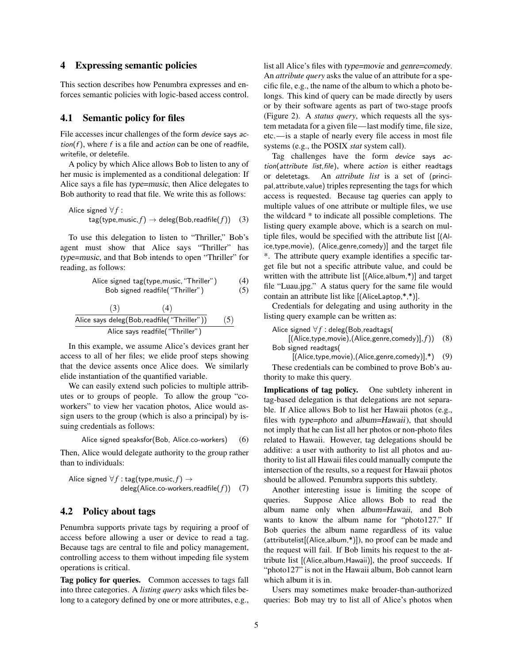#### <span id="page-4-0"></span>4 Expressing semantic policies

This section describes how Penumbra expresses and enforces semantic policies with logic-based access control.

#### 4.1 Semantic policy for files

File accesses incur challenges of the form device says action( $f$ ), where  $f$  is a file and *action* can be one of readfile, writefile, or deletefile.

A policy by which Alice allows Bob to listen to any of her music is implemented as a conditional delegation: If Alice says a file has type=music, then Alice delegates to Bob authority to read that file. We write this as follows:

$$
\begin{array}{ll}\text{Alice signed } \forall f: \\ \text{tag(type, music, } f) \rightarrow \text{deleg}(\text{Bob,readfile}(f)) \quad (3)\end{array}
$$

To use this delegation to listen to "Thriller," Bob's agent must show that Alice says "Thriller" has type=music, and that Bob intends to open "Thriller" for reading, as follows:

Alice signed tag(type,music,"Thriller") (4) Bob signed readfile("Thriller") (5)

$$
\frac{(3) \qquad (4)}{\text{Alice says deleg(Bob,readfile("Thriller"))} \qquad (5)}
$$
  
Alice says readfile("Thriller")

In this example, we assume Alice's devices grant her access to all of her files; we elide proof steps showing that the device assents once Alice does. We similarly elide instantiation of the quantified variable.

We can easily extend such policies to multiple attributes or to groups of people. To allow the group "coworkers" to view her vacation photos, Alice would assign users to the group (which is also a principal) by issuing credentials as follows:

Alice signed speaksfor(Bob, Alice.co-workers) (6)

Then, Alice would delegate authority to the group rather than to individuals:

$$
\begin{array}{ll}\text{Alice signed } \forall f:\texttt{tag}(\texttt{type}, \texttt{music}, f) \rightarrow \\ & \texttt{deleg}(\texttt{Alice.co-workers}, \texttt{readfile}(f)) \quad (7)\end{array}
$$

#### <span id="page-4-4"></span>4.2 Policy about tags

Penumbra supports private tags by requiring a proof of access before allowing a user or device to read a tag. Because tags are central to file and policy management, controlling access to them without impeding file system operations is critical.

Tag policy for queries. Common accesses to tags fall into three categories. A *listing query* asks which files belong to a category defined by one or more attributes, e.g., list all Alice's files with type=movie and genre=comedy. An *attribute query* asks the value of an attribute for a specific file, e.g., the name of the album to which a photo belongs. This kind of query can be made directly by users or by their software agents as part of two-stage proofs (Figure [2\)](#page-3-1). A *status query*, which requests all the system metadata for a given file—last modify time, file size, etc.—is a staple of nearly every file access in most file systems (e.g., the POSIX *stat* system call).

<span id="page-4-1"></span>Tag challenges have the form device says action(attribute list,file), where action is either readtags or deletetags. An *attribute list* is a set of (principal,attribute,value) triples representing the tags for which access is requested. Because tag queries can apply to multiple values of one attribute or multiple files, we use the wildcard \* to indicate all possible completions. The listing query example above, which is a search on multiple files, would be specified with the attribute list [(Alice,type,movie), (Alice,genre,comedy)] and the target file \*. The attribute query example identifies a specific target file but not a specific attribute value, and could be written with the attribute list [(Alice,album,\*)] and target file "Luau.jpg." A status query for the same file would contain an attribute list like [(AliceLaptop,\*,\*)].

<span id="page-4-3"></span><span id="page-4-2"></span>Credentials for delegating and using authority in the listing query example can be written as:

Alice signed  $\forall f$  : deleg(Bob, readtags(

[(Alice,type,movie),(Alice,genre,comedy)], *f*)) (8) Bob signed readtags(

[(Alice,type,movie),(Alice,genre,comedy)],\*) (9) These credentials can be combined to prove Bob's authority to make this query.

Implications of tag policy. One subtlety inherent in tag-based delegation is that delegations are not separable. If Alice allows Bob to list her Hawaii photos (e.g., files with type=photo and album=Hawaii), that should not imply that he can list all her photos or non-photo files related to Hawaii. However, tag delegations should be additive: a user with authority to list all photos and authority to list all Hawaii files could manually compute the intersection of the results, so a request for Hawaii photos should be allowed. Penumbra supports this subtlety.

Another interesting issue is limiting the scope of queries. Suppose Alice allows Bob to read the album name only when album=Hawaii, and Bob wants to know the album name for "photo127." If Bob queries the album name regardless of its value (attributelist[(Alice,album,\*)]), no proof can be made and the request will fail. If Bob limits his request to the attribute list [(Alice,album,Hawaii)], the proof succeeds. If "photo127" is not in the Hawaii album, Bob cannot learn which album it is in.

Users may sometimes make broader-than-authorized queries: Bob may try to list all of Alice's photos when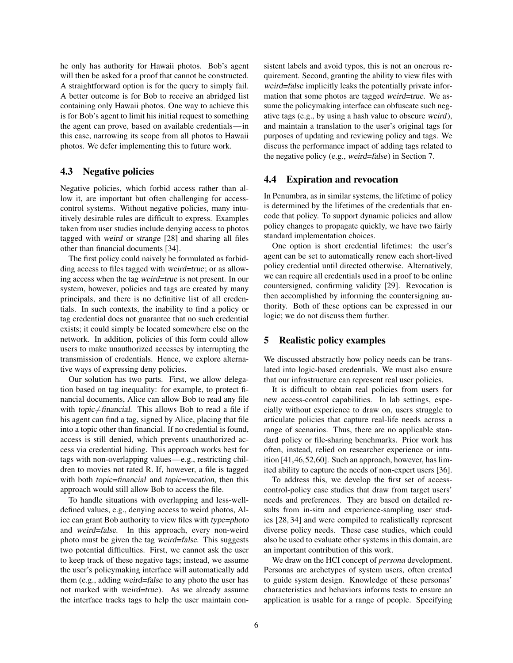he only has authority for Hawaii photos. Bob's agent will then be asked for a proof that cannot be constructed. A straightforward option is for the query to simply fail. A better outcome is for Bob to receive an abridged list containing only Hawaii photos. One way to achieve this is for Bob's agent to limit his initial request to something the agent can prove, based on available credentials—in this case, narrowing its scope from all photos to Hawaii photos. We defer implementing this to future work.

## <span id="page-5-2"></span>4.3 Negative policies

Negative policies, which forbid access rather than allow it, are important but often challenging for accesscontrol systems. Without negative policies, many intuitively desirable rules are difficult to express. Examples taken from user studies include denying access to photos tagged with weird or strange [\[28\]](#page-13-10) and sharing all files other than financial documents [\[34\]](#page-13-12).

The first policy could naively be formulated as forbidding access to files tagged with weird=true; or as allowing access when the tag weird=true is not present. In our system, however, policies and tags are created by many principals, and there is no definitive list of all credentials. In such contexts, the inability to find a policy or tag credential does not guarantee that no such credential exists; it could simply be located somewhere else on the network. In addition, policies of this form could allow users to make unauthorized accesses by interrupting the transmission of credentials. Hence, we explore alternative ways of expressing deny policies.

Our solution has two parts. First, we allow delegation based on tag inequality: for example, to protect financial documents, Alice can allow Bob to read any file with topic $\neq$ financial. This allows Bob to read a file if his agent can find a tag, signed by Alice, placing that file into a topic other than financial. If no credential is found, access is still denied, which prevents unauthorized access via credential hiding. This approach works best for tags with non-overlapping values—e.g., restricting children to movies not rated R. If, however, a file is tagged with both topic=financial and topic=vacation, then this approach would still allow Bob to access the file.

To handle situations with overlapping and less-welldefined values, e.g., denying access to weird photos, Alice can grant Bob authority to view files with type=photo and weird=false. In this approach, every non-weird photo must be given the tag weird=false. This suggests two potential difficulties. First, we cannot ask the user to keep track of these negative tags; instead, we assume the user's policymaking interface will automatically add them (e.g., adding weird=false to any photo the user has not marked with weird=true). As we already assume the interface tracks tags to help the user maintain consistent labels and avoid typos, this is not an onerous requirement. Second, granting the ability to view files with weird=false implicitly leaks the potentially private information that some photos are tagged weird=true. We assume the policymaking interface can obfuscate such negative tags (e.g., by using a hash value to obscure weird), and maintain a translation to the user's original tags for purposes of updating and reviewing policy and tags. We discuss the performance impact of adding tags related to the negative policy (e.g., weird=false) in Section [7.](#page-8-0)

#### <span id="page-5-0"></span>4.4 Expiration and revocation

In Penumbra, as in similar systems, the lifetime of policy is determined by the lifetimes of the credentials that encode that policy. To support dynamic policies and allow policy changes to propagate quickly, we have two fairly standard implementation choices.

One option is short credential lifetimes: the user's agent can be set to automatically renew each short-lived policy credential until directed otherwise. Alternatively, we can require all credentials used in a proof to be online countersigned, confirming validity [\[29\]](#page-13-22). Revocation is then accomplished by informing the countersigning authority. Both of these options can be expressed in our logic; we do not discuss them further.

## <span id="page-5-1"></span>5 Realistic policy examples

We discussed abstractly how policy needs can be translated into logic-based credentials. We must also ensure that our infrastructure can represent real user policies.

It is difficult to obtain real policies from users for new access-control capabilities. In lab settings, especially without experience to draw on, users struggle to articulate policies that capture real-life needs across a range of scenarios. Thus, there are no applicable standard policy or file-sharing benchmarks. Prior work has often, instead, relied on researcher experience or intuition [\[41,](#page-13-23)[46](#page-13-3)[,52](#page-13-4)[,60\]](#page-14-4). Such an approach, however, has limited ability to capture the needs of non-expert users [\[36\]](#page-13-24).

To address this, we develop the first set of accesscontrol-policy case studies that draw from target users' needs and preferences. They are based on detailed results from in-situ and experience-sampling user studies [\[28,](#page-13-10) [34\]](#page-13-12) and were compiled to realistically represent diverse policy needs. These case studies, which could also be used to evaluate other systems in this domain, are an important contribution of this work.

We draw on the HCI concept of *persona* development. Personas are archetypes of system users, often created to guide system design. Knowledge of these personas' characteristics and behaviors informs tests to ensure an application is usable for a range of people. Specifying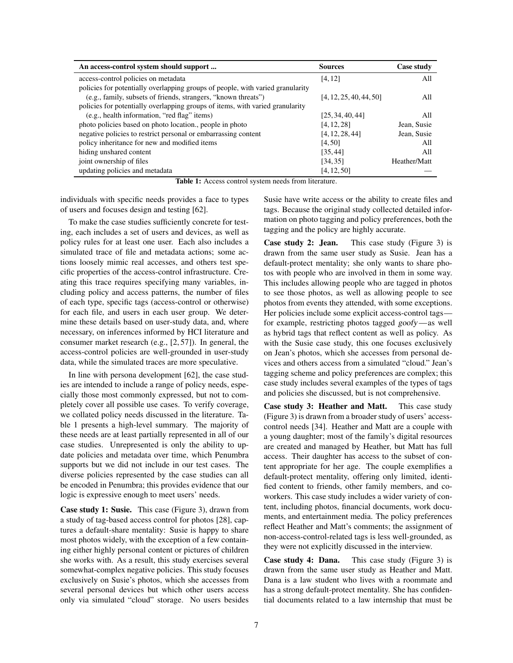<span id="page-6-0"></span>

| An access-control system should support                                        | <b>Sources</b>          | Case study   |
|--------------------------------------------------------------------------------|-------------------------|--------------|
| access-control policies on metadata                                            | [4, 12]                 | All          |
| policies for potentially overlapping groups of people, with varied granularity |                         |              |
| (e.g., family, subsets of friends, strangers, "known threats")                 | [4, 12, 25, 40, 44, 50] | All          |
| policies for potentially overlapping groups of items, with varied granularity  |                         |              |
| (e.g., health information, "red flag" items)                                   | [25, 34, 40, 44]        | All          |
| photo policies based on photo location., people in photo                       | [4, 12, 28]             | Jean, Susie  |
| negative policies to restrict personal or embarrassing content                 | [4, 12, 28, 44]         | Jean, Susie  |
| policy inheritance for new and modified items                                  | [4, 50]                 | All          |
| hiding unshared content                                                        | [35, 44]                | All          |
| joint ownership of files                                                       | [34, 35]                | Heather/Matt |
| updating policies and metadata                                                 | [4, 12, 50]             |              |

Table 1: Access control system needs from literature.

individuals with specific needs provides a face to types of users and focuses design and testing [\[62\]](#page-14-7).

To make the case studies sufficiently concrete for testing, each includes a set of users and devices, as well as policy rules for at least one user. Each also includes a simulated trace of file and metadata actions; some actions loosely mimic real accesses, and others test specific properties of the access-control infrastructure. Creating this trace requires specifying many variables, including policy and access patterns, the number of files of each type, specific tags (access-control or otherwise) for each file, and users in each user group. We determine these details based on user-study data, and, where necessary, on inferences informed by HCI literature and consumer market research (e.g., [\[2,](#page-12-22) [57\]](#page-14-8)). In general, the access-control policies are well-grounded in user-study data, while the simulated traces are more speculative.

In line with persona development [\[62\]](#page-14-7), the case studies are intended to include a range of policy needs, especially those most commonly expressed, but not to completely cover all possible use cases. To verify coverage, we collated policy needs discussed in the literature. Table [1](#page-6-0) presents a high-level summary. The majority of these needs are at least partially represented in all of our case studies. Unrepresented is only the ability to update policies and metadata over time, which Penumbra supports but we did not include in our test cases. The diverse policies represented by the case studies can all be encoded in Penumbra; this provides evidence that our logic is expressive enough to meet users' needs.

Case study 1: Susie. This case (Figure [3\)](#page-7-0), drawn from a study of tag-based access control for photos [\[28\]](#page-13-10), captures a default-share mentality: Susie is happy to share most photos widely, with the exception of a few containing either highly personal content or pictures of children she works with. As a result, this study exercises several somewhat-complex negative policies. This study focuses exclusively on Susie's photos, which she accesses from several personal devices but which other users access only via simulated "cloud" storage. No users besides Susie have write access or the ability to create files and tags. Because the original study collected detailed information on photo tagging and policy preferences, both the tagging and the policy are highly accurate.

Case study 2: Jean. This case study (Figure [3\)](#page-7-0) is drawn from the same user study as Susie. Jean has a default-protect mentality; she only wants to share photos with people who are involved in them in some way. This includes allowing people who are tagged in photos to see those photos, as well as allowing people to see photos from events they attended, with some exceptions. Her policies include some explicit access-control tags for example, restricting photos tagged goofy—as well as hybrid tags that reflect content as well as policy. As with the Susie case study, this one focuses exclusively on Jean's photos, which she accesses from personal devices and others access from a simulated "cloud." Jean's tagging scheme and policy preferences are complex; this case study includes several examples of the types of tags and policies she discussed, but is not comprehensive.

Case study 3: Heather and Matt. This case study (Figure [3\)](#page-7-0) is drawn from a broader study of users' accesscontrol needs [\[34\]](#page-13-12). Heather and Matt are a couple with a young daughter; most of the family's digital resources are created and managed by Heather, but Matt has full access. Their daughter has access to the subset of content appropriate for her age. The couple exemplifies a default-protect mentality, offering only limited, identified content to friends, other family members, and coworkers. This case study includes a wider variety of content, including photos, financial documents, work documents, and entertainment media. The policy preferences reflect Heather and Matt's comments; the assignment of non-access-control-related tags is less well-grounded, as they were not explicitly discussed in the interview.

Case study 4: Dana. This case study (Figure [3\)](#page-7-0) is drawn from the same user study as Heather and Matt. Dana is a law student who lives with a roommate and has a strong default-protect mentality. She has confidential documents related to a law internship that must be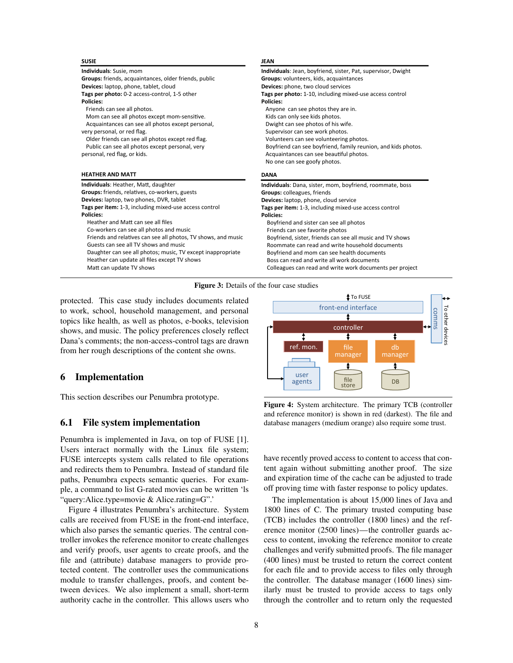<span id="page-7-0"></span>

| <b>SUSIE</b>                                                  | JEAN                                                          |
|---------------------------------------------------------------|---------------------------------------------------------------|
| Individuals: Susie, mom                                       | Individuals: Jean, boyfriend, sister, Pat, supervisor, Dwight |
| Groups: friends, acquaintances, older friends, public         | Groups: volunteers, kids, acquaintances                       |
| Devices: laptop, phone, tablet, cloud                         | Devices: phone, two cloud services                            |
| Tags per photo: 0-2 access-control, 1-5 other                 | Tags per photo: 1-10, including mixed-use access control      |
| Policies:                                                     | Policies:                                                     |
| Friends can see all photos.                                   | Anyone can see photos they are in.                            |
| Mom can see all photos except mom-sensitive.                  | Kids can only see kids photos.                                |
| Acquaintances can see all photos except personal,             | Dwight can see photos of his wife.                            |
| very personal, or red flag.                                   | Supervisor can see work photos.                               |
| Older friends can see all photos except red flag.             | Volunteers can see volunteering photos.                       |
| Public can see all photos except personal, very               | Boyfriend can see boyfriend, family reunion, and kids photos. |
| personal, red flag, or kids.                                  | Acquaintances can see beautiful photos.                       |
|                                                               |                                                               |
|                                                               | No one can see goofy photos.                                  |
| <b>HFATHFR AND MATT</b>                                       | <b>DANA</b>                                                   |
| Individuals: Heather, Matt, daughter                          | Individuals: Dana, sister, mom, boyfriend, roommate, boss     |
| Groups: friends, relatives, co-workers, guests                | Groups: colleagues, friends                                   |
| Devices: laptop, two phones, DVR, tablet                      | Devices: laptop, phone, cloud service                         |
| Tags per item: 1-3, including mixed-use access control        | Tags per item: 1-3, including mixed-use access control        |
| Policies:                                                     | Policies:                                                     |
| Heather and Matt can see all files                            | Boyfriend and sister can see all photos                       |
| Co-workers can see all photos and music                       | Friends can see favorite photos                               |
| Friends and relatives can see all photos, TV shows, and music | Boyfriend, sister, friends can see all music and TV shows     |
| Guests can see all TV shows and music                         | Roommate can read and write household documents               |
| Daughter can see all photos; music, TV except inappropriate   | Boyfriend and mom can see health documents                    |
| Heather can update all files except TV shows                  | Boss can read and write all work documents                    |



protected. This case study includes documents related to work, school, household management, and personal topics like health, as well as photos, e-books, television shows, and music. The policy preferences closely reflect Dana's comments; the non-access-control tags are drawn from her rough descriptions of the content she owns.

## 6 Implementation

This section describes our Penumbra prototype.

#### 6.1 File system implementation

Penumbra is implemented in Java, on top of FUSE [\[1\]](#page-12-23). Users interact normally with the Linux file system; FUSE intercepts system calls related to file operations and redirects them to Penumbra. Instead of standard file paths, Penumbra expects semantic queries. For example, a command to list G-rated movies can be written 'ls "query:Alice.type=movie & Alice.rating=G".'

Figure [4](#page-7-1) illustrates Penumbra's architecture. System calls are received from FUSE in the front-end interface, which also parses the semantic queries. The central controller invokes the reference monitor to create challenges and verify proofs, user agents to create proofs, and the file and (attribute) database managers to provide protected content. The controller uses the communications module to transfer challenges, proofs, and content between devices. We also implement a small, short-term authority cache in the controller. This allows users who

<span id="page-7-1"></span>

Figure 4: System architecture. The primary TCB (controller and reference monitor) is shown in red (darkest). The file and database managers (medium orange) also require some trust.

have recently proved access to content to access that content again without submitting another proof. The size and expiration time of the cache can be adjusted to trade off proving time with faster response to policy updates.

The implementation is about 15,000 lines of Java and 1800 lines of C. The primary trusted computing base (TCB) includes the controller (1800 lines) and the reference monitor (2500 lines)—the controller guards access to content, invoking the reference monitor to create challenges and verify submitted proofs. The file manager (400 lines) must be trusted to return the correct content for each file and to provide access to files only through the controller. The database manager (1600 lines) similarly must be trusted to provide access to tags only through the controller and to return only the requested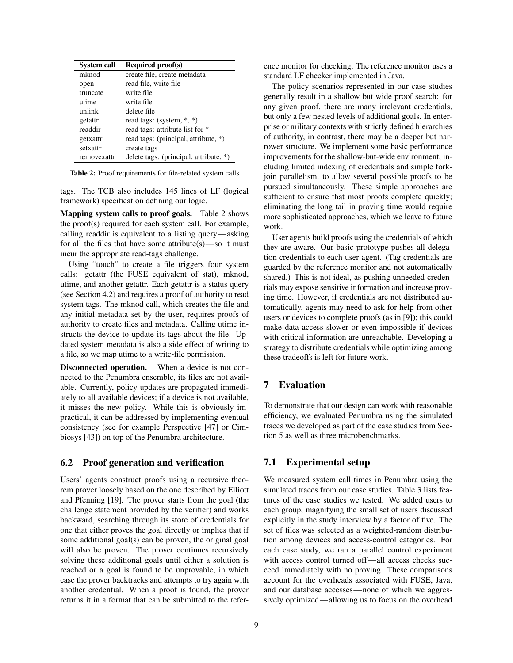<span id="page-8-1"></span>

| <b>System call</b> | <b>Required proof(s)</b>               |
|--------------------|----------------------------------------|
| mknod              | create file, create metadata           |
| open               | read file, write file                  |
| truncate           | write file                             |
| utime              | write file                             |
| unlink             | delete file                            |
| getattr            | read tags: (system, $*, *$ )           |
| readdir            | read tags: attribute list for *        |
| getxattr           | read tags: (principal, attribute, *)   |
| setxattr           | create tags                            |
| removexattr        | delete tags: (principal, attribute, *) |

Table 2: Proof requirements for file-related system calls

tags. The TCB also includes 145 lines of LF (logical framework) specification defining our logic.

Mapping system calls to proof goals. Table [2](#page-8-1) shows the proof(s) required for each system call. For example, calling readdir is equivalent to a listing query—asking for all the files that have some attribute(s)—so it must incur the appropriate read-tags challenge.

Using "touch" to create a file triggers four system calls: getattr (the FUSE equivalent of stat), mknod, utime, and another getattr. Each getattr is a status query (see Section [4.2\)](#page-4-4) and requires a proof of authority to read system tags. The mknod call, which creates the file and any initial metadata set by the user, requires proofs of authority to create files and metadata. Calling utime instructs the device to update its tags about the file. Updated system metadata is also a side effect of writing to a file, so we map utime to a write-file permission.

Disconnected operation. When a device is not connected to the Penumbra ensemble, its files are not available. Currently, policy updates are propagated immediately to all available devices; if a device is not available, it misses the new policy. While this is obviously impractical, it can be addressed by implementing eventual consistency (see for example Perspective [\[47\]](#page-13-15) or Cimbiosys [\[43\]](#page-13-2)) on top of the Penumbra architecture.

## 6.2 Proof generation and verification

Users' agents construct proofs using a recursive theorem prover loosely based on the one described by Elliott and Pfenning [\[19\]](#page-12-24). The prover starts from the goal (the challenge statement provided by the verifier) and works backward, searching through its store of credentials for one that either proves the goal directly or implies that if some additional goal(s) can be proven, the original goal will also be proven. The prover continues recursively solving these additional goals until either a solution is reached or a goal is found to be unprovable, in which case the prover backtracks and attempts to try again with another credential. When a proof is found, the prover returns it in a format that can be submitted to the reference monitor for checking. The reference monitor uses a standard LF checker implemented in Java.

The policy scenarios represented in our case studies generally result in a shallow but wide proof search: for any given proof, there are many irrelevant credentials, but only a few nested levels of additional goals. In enterprise or military contexts with strictly defined hierarchies of authority, in contrast, there may be a deeper but narrower structure. We implement some basic performance improvements for the shallow-but-wide environment, including limited indexing of credentials and simple forkjoin parallelism, to allow several possible proofs to be pursued simultaneously. These simple approaches are sufficient to ensure that most proofs complete quickly; eliminating the long tail in proving time would require more sophisticated approaches, which we leave to future work.

User agents build proofs using the credentials of which they are aware. Our basic prototype pushes all delegation credentials to each user agent. (Tag credentials are guarded by the reference monitor and not automatically shared.) This is not ideal, as pushing unneeded credentials may expose sensitive information and increase proving time. However, if credentials are not distributed automatically, agents may need to ask for help from other users or devices to complete proofs (as in [\[9\]](#page-12-20)); this could make data access slower or even impossible if devices with critical information are unreachable. Developing a strategy to distribute credentials while optimizing among these tradeoffs is left for future work.

## <span id="page-8-0"></span>7 Evaluation

To demonstrate that our design can work with reasonable efficiency, we evaluated Penumbra using the simulated traces we developed as part of the case studies from Section [5](#page-5-1) as well as three microbenchmarks.

## 7.1 Experimental setup

We measured system call times in Penumbra using the simulated traces from our case studies. Table [3](#page-9-0) lists features of the case studies we tested. We added users to each group, magnifying the small set of users discussed explicitly in the study interview by a factor of five. The set of files was selected as a weighted-random distribution among devices and access-control categories. For each case study, we ran a parallel control experiment with access control turned off—all access checks succeed immediately with no proving. These comparisons account for the overheads associated with FUSE, Java, and our database accesses—none of which we aggressively optimized—allowing us to focus on the overhead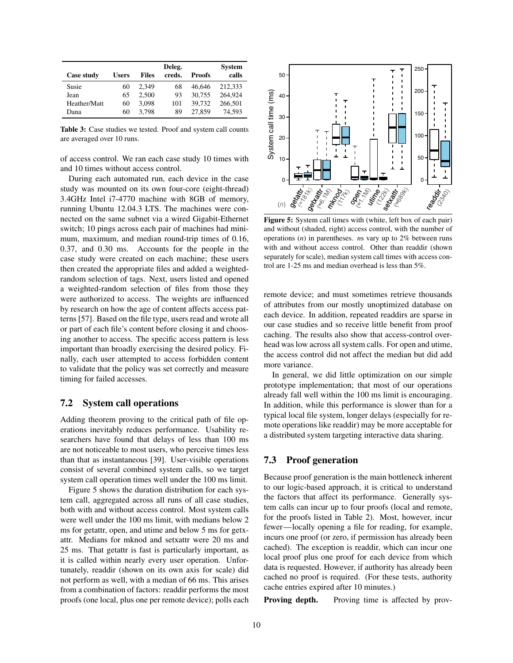<span id="page-9-0"></span>

|              |              |              | Deleg. |               | <b>System</b> |
|--------------|--------------|--------------|--------|---------------|---------------|
| Case study   | <b>Users</b> | <b>Files</b> | creds. | <b>Proofs</b> | calls         |
| Susie        | 60           | 2.349        | 68     | 46.646        | 212.333       |
| Jean         | 65           | 2.500        | 93     | 30,755        | 264,924       |
| Heather/Matt | 60           | 3.098        | 101    | 39.732        | 266,501       |
| Dana         | 60           | 3.798        | 89     | 27,859        | 74.593        |

Table 3: Case studies we tested. Proof and system call counts are averaged over 10 runs.

of access control. We ran each case study 10 times with and 10 times without access control.

During each automated run, each device in the case study was mounted on its own four-core (eight-thread) 3.4GHz Intel i7-4770 machine with 8GB of memory, running Ubuntu 12.04.3 LTS. The machines were connected on the same subnet via a wired Gigabit-Ethernet switch; 10 pings across each pair of machines had minimum, maximum, and median round-trip times of 0.16, 0.37, and 0.30 ms. Accounts for the people in the case study were created on each machine; these users then created the appropriate files and added a weightedrandom selection of tags. Next, users listed and opened a weighted-random selection of files from those they were authorized to access. The weights are influenced by research on how the age of content affects access patterns [\[57\]](#page-14-8). Based on the file type, users read and wrote all or part of each file's content before closing it and choosing another to access. The specific access pattern is less important than broadly exercising the desired policy. Finally, each user attempted to access forbidden content to validate that the policy was set correctly and measure timing for failed accesses.

## 7.2 System call operations

Adding theorem proving to the critical path of file operations inevitably reduces performance. Usability researchers have found that delays of less than 100 ms are not noticeable to most users, who perceive times less than that as instantaneous [\[39\]](#page-13-26). User-visible operations consist of several combined system calls, so we target system call operation times well under the 100 ms limit.

Figure [5](#page-9-1) shows the duration distribution for each system call, aggregated across all runs of all case studies, both with and without access control. Most system calls were well under the 100 ms limit, with medians below 2 ms for getattr, open, and utime and below 5 ms for getxattr. Medians for mknod and setxattr were 20 ms and 25 ms. That getattr is fast is particularly important, as it is called within nearly every user operation. Unfortunately, readdir (shown on its own axis for scale) did not perform as well, with a median of 66 ms. This arises from a combination of factors: readdir performs the most proofs (one local, plus one per remote device); polls each

<span id="page-9-1"></span>

Figure 5: System call times with (white, left box of each pair) and without (shaded, right) access control, with the number of operations (*n*) in parentheses. *n*s vary up to 2% between runs with and without access control. Other than readdir (shown separately for scale), median system call times with access control are 1-25 ms and median overhead is less than 5%.

remote device; and must sometimes retrieve thousands of attributes from our mostly unoptimized database on each device. In addition, repeated readdirs are sparse in our case studies and so receive little benefit from proof caching. The results also show that access-control overhead was low across all system calls. For open and utime, the access control did not affect the median but did add more variance.

In general, we did little optimization on our simple prototype implementation; that most of our operations already fall well within the 100 ms limit is encouraging. In addition, while this performance is slower than for a typical local file system, longer delays (especially for remote operations like readdir) may be more acceptable for a distributed system targeting interactive data sharing.

# 7.3 Proof generation

Because proof generation is the main bottleneck inherent to our logic-based approach, it is critical to understand the factors that affect its performance. Generally system calls can incur up to four proofs (local and remote, for the proofs listed in Table [2\)](#page-8-1). Most, however, incur fewer—locally opening a file for reading, for example, incurs one proof (or zero, if permission has already been cached). The exception is readdir, which can incur one local proof plus one proof for each device from which data is requested. However, if authority has already been cached no proof is required. (For these tests, authority cache entries expired after 10 minutes.)

Proving depth. Proving time is affected by prov-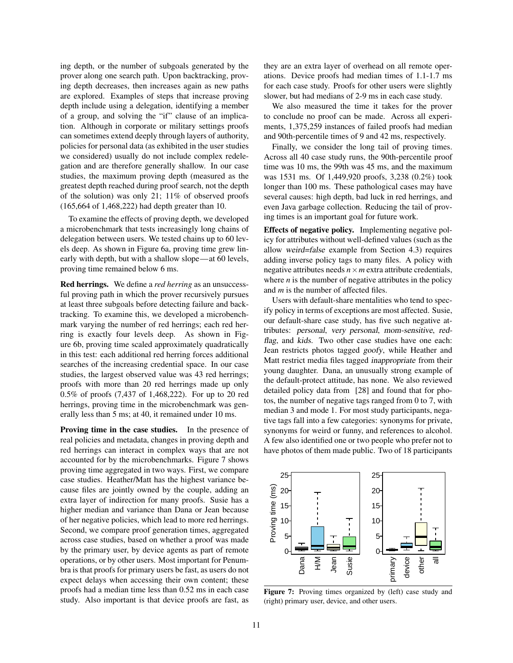ing depth, or the number of subgoals generated by the prover along one search path. Upon backtracking, proving depth decreases, then increases again as new paths are explored. Examples of steps that increase proving depth include using a delegation, identifying a member of a group, and solving the "if" clause of an implication. Although in corporate or military settings proofs can sometimes extend deeply through layers of authority, policies for personal data (as exhibited in the user studies we considered) usually do not include complex redelegation and are therefore generally shallow. In our case studies, the maximum proving depth (measured as the greatest depth reached during proof search, not the depth of the solution) was only 21; 11% of observed proofs (165,664 of 1,468,222) had depth greater than 10.

To examine the effects of proving depth, we developed a microbenchmark that tests increasingly long chains of delegation between users. We tested chains up to 60 levels deep. As shown in Figure [6a](#page-11-0), proving time grew linearly with depth, but with a shallow slope—at 60 levels, proving time remained below 6 ms.

Red herrings. We define a *red herring* as an unsuccessful proving path in which the prover recursively pursues at least three subgoals before detecting failure and backtracking. To examine this, we developed a microbenchmark varying the number of red herrings; each red herring is exactly four levels deep. As shown in Figure [6b](#page-11-0), proving time scaled approximately quadratically in this test: each additional red herring forces additional searches of the increasing credential space. In our case studies, the largest observed value was 43 red herrings; proofs with more than 20 red herrings made up only 0.5% of proofs (7,437 of 1,468,222). For up to 20 red herrings, proving time in the microbenchmark was generally less than 5 ms; at 40, it remained under 10 ms.

Proving time in the case studies. In the presence of real policies and metadata, changes in proving depth and red herrings can interact in complex ways that are not accounted for by the microbenchmarks. Figure [7](#page-10-0) shows proving time aggregated in two ways. First, we compare case studies. Heather/Matt has the highest variance because files are jointly owned by the couple, adding an extra layer of indirection for many proofs. Susie has a higher median and variance than Dana or Jean because of her negative policies, which lead to more red herrings. Second, we compare proof generation times, aggregated across case studies, based on whether a proof was made by the primary user, by device agents as part of remote operations, or by other users. Most important for Penumbra is that proofs for primary users be fast, as users do not expect delays when accessing their own content; these proofs had a median time less than 0.52 ms in each case study. Also important is that device proofs are fast, as they are an extra layer of overhead on all remote operations. Device proofs had median times of 1.1-1.7 ms for each case study. Proofs for other users were slightly slower, but had medians of 2-9 ms in each case study.

We also measured the time it takes for the prover to conclude no proof can be made. Across all experiments, 1,375,259 instances of failed proofs had median and 90th-percentile times of 9 and 42 ms, respectively.

Finally, we consider the long tail of proving times. Across all 40 case study runs, the 90th-percentile proof time was 10 ms, the 99th was 45 ms, and the maximum was 1531 ms. Of 1,449,920 proofs, 3,238 (0.2%) took longer than 100 ms. These pathological cases may have several causes: high depth, bad luck in red herrings, and even Java garbage collection. Reducing the tail of proving times is an important goal for future work.

Effects of negative policy. Implementing negative policy for attributes without well-defined values (such as the allow weird=false example from Section [4.3\)](#page-5-2) requires adding inverse policy tags to many files. A policy with negative attributes needs  $n \times m$  extra attribute credentials, where  $n$  is the number of negative attributes in the policy and *m* is the number of affected files.

Users with default-share mentalities who tend to specify policy in terms of exceptions are most affected. Susie, our default-share case study, has five such negative attributes: personal, very personal, mom-sensitive, redflag, and kids. Two other case studies have one each: Jean restricts photos tagged goofy, while Heather and Matt restrict media files tagged inappropriate from their young daughter. Dana, an unusually strong example of the default-protect attitude, has none. We also reviewed detailed policy data from [\[28\]](#page-13-10) and found that for photos, the number of negative tags ranged from 0 to 7, with median 3 and mode 1. For most study participants, negative tags fall into a few categories: synonyms for private, synonyms for weird or funny, and references to alcohol. A few also identified one or two people who prefer not to have photos of them made public. Two of 18 participants

<span id="page-10-0"></span>

Figure 7: Proving times organized by (left) case study and (right) primary user, device, and other users.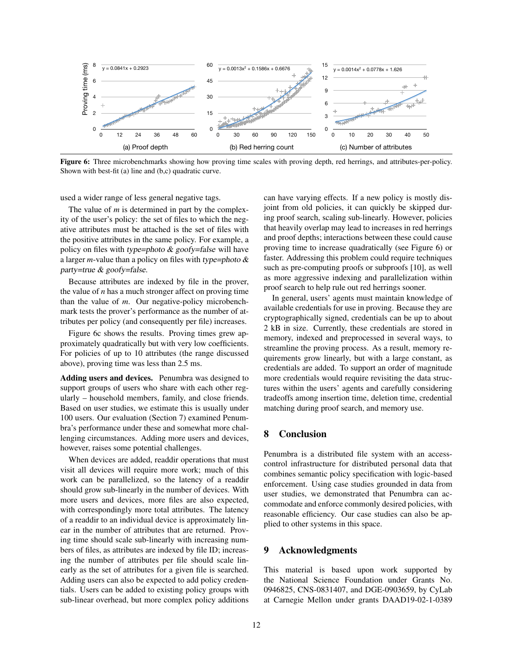<span id="page-11-0"></span>

Figure 6: Three microbenchmarks showing how proving time scales with proving depth, red herrings, and attributes-per-policy. Shown with best-fit (a) line and (b,c) quadratic curve.

used a wider range of less general negative tags.

The value of *m* is determined in part by the complexity of the user's policy: the set of files to which the negative attributes must be attached is the set of files with the positive attributes in the same policy. For example, a policy on files with type=photo  $& goofy=false$  will have a larger *m*-value than a policy on files with type=photo & party=true & goofy=false.

Because attributes are indexed by file in the prover, the value of *n* has a much stronger affect on proving time than the value of *m*. Our negative-policy microbenchmark tests the prover's performance as the number of attributes per policy (and consequently per file) increases.

Figure [6c](#page-11-0) shows the results. Proving times grew approximately quadratically but with very low coefficients. For policies of up to 10 attributes (the range discussed above), proving time was less than 2.5 ms.

Adding users and devices. Penumbra was designed to support groups of users who share with each other regularly – household members, family, and close friends. Based on user studies, we estimate this is usually under 100 users. Our evaluation (Section [7\)](#page-8-0) examined Penumbra's performance under these and somewhat more challenging circumstances. Adding more users and devices, however, raises some potential challenges.

When devices are added, readdir operations that must visit all devices will require more work; much of this work can be parallelized, so the latency of a readdir should grow sub-linearly in the number of devices. With more users and devices, more files are also expected, with correspondingly more total attributes. The latency of a readdir to an individual device is approximately linear in the number of attributes that are returned. Proving time should scale sub-linearly with increasing numbers of files, as attributes are indexed by file ID; increasing the number of attributes per file should scale linearly as the set of attributes for a given file is searched. Adding users can also be expected to add policy credentials. Users can be added to existing policy groups with sub-linear overhead, but more complex policy additions can have varying effects. If a new policy is mostly disjoint from old policies, it can quickly be skipped during proof search, scaling sub-linearly. However, policies that heavily overlap may lead to increases in red herrings and proof depths; interactions between these could cause proving time to increase quadratically (see Figure [6\)](#page-11-0) or faster. Addressing this problem could require techniques such as pre-computing proofs or subproofs [\[10\]](#page-12-25), as well as more aggressive indexing and parallelization within proof search to help rule out red herrings sooner.

In general, users' agents must maintain knowledge of available credentials for use in proving. Because they are cryptographically signed, credentials can be up to about 2 kB in size. Currently, these credentials are stored in memory, indexed and preprocessed in several ways, to streamline the proving process. As a result, memory requirements grow linearly, but with a large constant, as credentials are added. To support an order of magnitude more credentials would require revisiting the data structures within the users' agents and carefully considering tradeoffs among insertion time, deletion time, credential matching during proof search, and memory use.

## 8 Conclusion

Penumbra is a distributed file system with an accesscontrol infrastructure for distributed personal data that combines semantic policy specification with logic-based enforcement. Using case studies grounded in data from user studies, we demonstrated that Penumbra can accommodate and enforce commonly desired policies, with reasonable efficiency. Our case studies can also be applied to other systems in this space.

### 9 Acknowledgments

This material is based upon work supported by the National Science Foundation under Grants No. 0946825, CNS-0831407, and DGE-0903659, by CyLab at Carnegie Mellon under grants DAAD19-02-1-0389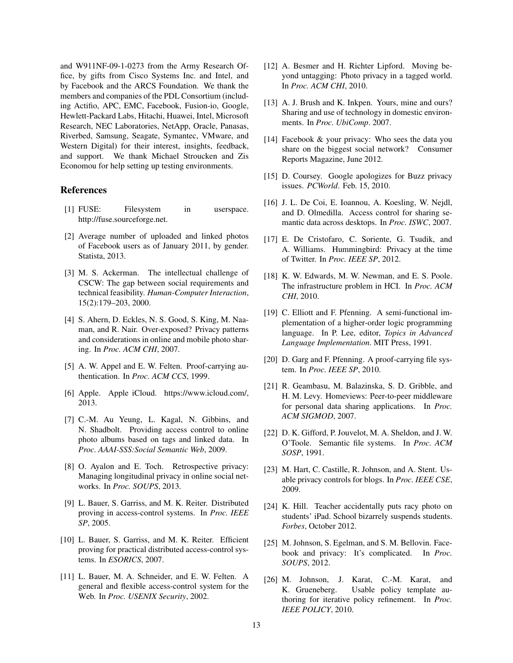and W911NF-09-1-0273 from the Army Research Office, by gifts from Cisco Systems Inc. and Intel, and by Facebook and the ARCS Foundation. We thank the members and companies of the PDL Consortium (including Actifio, APC, EMC, Facebook, Fusion-io, Google, Hewlett-Packard Labs, Hitachi, Huawei, Intel, Microsoft Research, NEC Laboratories, NetApp, Oracle, Panasas, Riverbed, Samsung, Seagate, Symantec, VMware, and Western Digital) for their interest, insights, feedback, and support. We thank Michael Stroucken and Zis Economou for help setting up testing environments.

#### References

- <span id="page-12-23"></span>[1] FUSE: Filesystem in userspace. http://fuse.sourceforge.net.
- <span id="page-12-22"></span>[2] Average number of uploaded and linked photos of Facebook users as of January 2011, by gender. Statista, 2013.
- <span id="page-12-11"></span>[3] M. S. Ackerman. The intellectual challenge of CSCW: The gap between social requirements and technical feasibility. *Human-Computer Interaction*, 15(2):179–203, 2000.
- <span id="page-12-8"></span>[4] S. Ahern, D. Eckles, N. S. Good, S. King, M. Naaman, and R. Nair. Over-exposed? Privacy patterns and considerations in online and mobile photo sharing. In *Proc. ACM CHI*, 2007.
- <span id="page-12-19"></span>[5] A. W. Appel and E. W. Felten. Proof-carrying authentication. In *Proc. ACM CCS*, 1999.
- <span id="page-12-0"></span>[6] Apple. Apple iCloud. https://www.icloud.com/, 2013.
- <span id="page-12-13"></span>[7] C.-M. Au Yeung, L. Kagal, N. Gibbins, and N. Shadbolt. Providing access control to online photo albums based on tags and linked data. In *Proc. AAAI-SSS:Social Semantic Web*, 2009.
- <span id="page-12-9"></span>[8] O. Ayalon and E. Toch. Retrospective privacy: Managing longitudinal privacy in online social networks. In *Proc. SOUPS*, 2013.
- <span id="page-12-20"></span>[9] L. Bauer, S. Garriss, and M. K. Reiter. Distributed proving in access-control systems. In *Proc. IEEE SP*, 2005.
- <span id="page-12-25"></span>[10] L. Bauer, S. Garriss, and M. K. Reiter. Efficient proving for practical distributed access-control systems. In *ESORICS*, 2007.
- <span id="page-12-21"></span>[11] L. Bauer, M. A. Schneider, and E. W. Felten. A general and flexible access-control system for the Web. In *Proc. USENIX Security*, 2002.
- <span id="page-12-12"></span>[12] A. Besmer and H. Richter Lipford. Moving beyond untagging: Photo privacy in a tagged world. In *Proc. ACM CHI*, 2010.
- <span id="page-12-10"></span>[13] A. J. Brush and K. Inkpen. Yours, mine and ours? Sharing and use of technology in domestic environments. In *Proc. UbiComp*. 2007.
- <span id="page-12-3"></span>[14] Facebook & your privacy: Who sees the data you share on the biggest social network? Consumer Reports Magazine, June 2012.
- <span id="page-12-2"></span>[15] D. Coursey. Google apologizes for Buzz privacy issues. *PCWorld*. Feb. 15, 2010.
- <span id="page-12-14"></span>[16] J. L. De Coi, E. Ioannou, A. Koesling, W. Nejdl, and D. Olmedilla. Access control for sharing semantic data across desktops. In *Proc. ISWC*, 2007.
- <span id="page-12-15"></span>[17] E. De Cristofaro, C. Soriente, G. Tsudik, and A. Williams. Hummingbird: Privacy at the time of Twitter. In *Proc. IEEE SP*, 2012.
- <span id="page-12-6"></span>[18] K. W. Edwards, M. W. Newman, and E. S. Poole. The infrastructure problem in HCI. In *Proc. ACM CHI*, 2010.
- <span id="page-12-24"></span>[19] C. Elliott and F. Pfenning. A semi-functional implementation of a higher-order logic programming language. In P. Lee, editor, *Topics in Advanced Language Implementation*. MIT Press, 1991.
- <span id="page-12-7"></span>[20] D. Garg and F. Pfenning. A proof-carrying file system. In *Proc. IEEE SP*, 2010.
- <span id="page-12-18"></span>[21] R. Geambasu, M. Balazinska, S. D. Gribble, and H. M. Levy. Homeviews: Peer-to-peer middleware for personal data sharing applications. In *Proc. ACM SIGMOD*, 2007.
- <span id="page-12-17"></span>[22] D. K. Gifford, P. Jouvelot, M. A. Sheldon, and J. W. O'Toole. Semantic file systems. In *Proc. ACM SOSP*, 1991.
- <span id="page-12-16"></span>[23] M. Hart, C. Castille, R. Johnson, and A. Stent. Usable privacy controls for blogs. In *Proc. IEEE CSE*, 2009.
- <span id="page-12-1"></span>[24] K. Hill. Teacher accidentally puts racy photo on students' iPad. School bizarrely suspends students. *Forbes*, October 2012.
- <span id="page-12-4"></span>[25] M. Johnson, S. Egelman, and S. M. Bellovin. Facebook and privacy: It's complicated. In *Proc. SOUPS*, 2012.
- <span id="page-12-5"></span>[26] M. Johnson, J. Karat, C.-M. Karat, and K. Grueneberg. Usable policy template authoring for iterative policy refinement. In *Proc. IEEE POLICY*, 2010.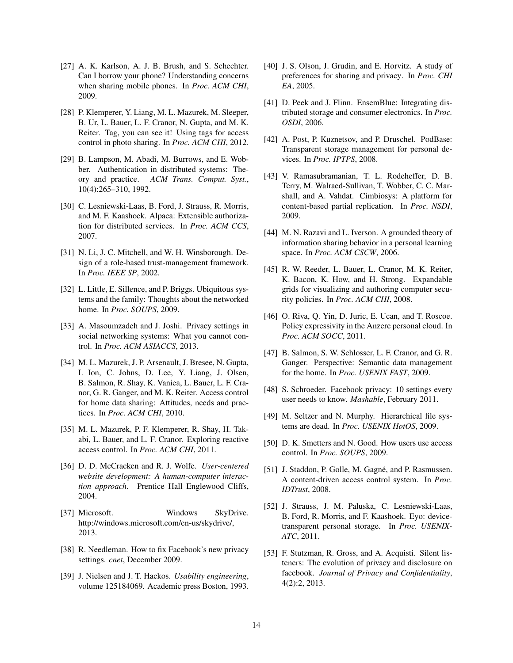- <span id="page-13-17"></span>[27] A. K. Karlson, A. J. B. Brush, and S. Schechter. Can I borrow your phone? Understanding concerns when sharing mobile phones. In *Proc. ACM CHI*, 2009.
- <span id="page-13-10"></span>[28] P. Klemperer, Y. Liang, M. L. Mazurek, M. Sleeper, B. Ur, L. Bauer, L. F. Cranor, N. Gupta, and M. K. Reiter. Tag, you can see it! Using tags for access control in photo sharing. In *Proc. ACM CHI*, 2012.
- <span id="page-13-22"></span>[29] B. Lampson, M. Abadi, M. Burrows, and E. Wobber. Authentication in distributed systems: Theory and practice. *ACM Trans. Comput. Syst.*, 10(4):265–310, 1992.
- <span id="page-13-21"></span>[30] C. Lesniewski-Laas, B. Ford, J. Strauss, R. Morris, and M. F. Kaashoek. Alpaca: Extensible authorization for distributed services. In *Proc. ACM CCS*, 2007.
- <span id="page-13-9"></span>[31] N. Li, J. C. Mitchell, and W. H. Winsborough. Design of a role-based trust-management framework. In *Proc. IEEE SP*, 2002.
- <span id="page-13-19"></span>[32] L. Little, E. Sillence, and P. Briggs. Ubiquitous systems and the family: Thoughts about the networked home. In *Proc. SOUPS*, 2009.
- <span id="page-13-5"></span>[33] A. Masoumzadeh and J. Joshi. Privacy settings in social networking systems: What you cannot control. In *Proc. ACM ASIACCS*, 2013.
- <span id="page-13-12"></span>[34] M. L. Mazurek, J. P. Arsenault, J. Bresee, N. Gupta, I. Ion, C. Johns, D. Lee, Y. Liang, J. Olsen, B. Salmon, R. Shay, K. Vaniea, L. Bauer, L. F. Cranor, G. R. Ganger, and M. K. Reiter. Access control for home data sharing: Attitudes, needs and practices. In *Proc. ACM CHI*, 2010.
- <span id="page-13-13"></span>[35] M. L. Mazurek, P. F. Klemperer, R. Shay, H. Takabi, L. Bauer, and L. F. Cranor. Exploring reactive access control. In *Proc. ACM CHI*, 2011.
- <span id="page-13-24"></span>[36] D. D. McCracken and R. J. Wolfe. *User-centered website development: A human-computer interaction approach*. Prentice Hall Englewood Cliffs, 2004.
- <span id="page-13-0"></span>[37] Microsoft. Windows SkyDrive. http://windows.microsoft.com/en-us/skydrive/, 2013.
- <span id="page-13-6"></span>[38] R. Needleman. How to fix Facebook's new privacy settings. *cnet*, December 2009.
- <span id="page-13-26"></span>[39] J. Nielsen and J. T. Hackos. *Usability engineering*, volume 125184069. Academic press Boston, 1993.
- <span id="page-13-18"></span>[40] J. S. Olson, J. Grudin, and E. Horvitz. A study of preferences for sharing and privacy. In *Proc. CHI EA*, 2005.
- <span id="page-13-23"></span>[41] D. Peek and J. Flinn. EnsemBlue: Integrating distributed storage and consumer electronics. In *Proc. OSDI*, 2006.
- <span id="page-13-1"></span>[42] A. Post, P. Kuznetsov, and P. Druschel. PodBase: Transparent storage management for personal devices. In *Proc. IPTPS*, 2008.
- <span id="page-13-2"></span>[43] V. Ramasubramanian, T. L. Rodeheffer, D. B. Terry, M. Walraed-Sullivan, T. Wobber, C. C. Marshall, and A. Vahdat. Cimbiosys: A platform for content-based partial replication. In *Proc. NSDI*, 2009.
- <span id="page-13-11"></span>[44] M. N. Razavi and L. Iverson. A grounded theory of information sharing behavior in a personal learning space. In *Proc. ACM CSCW*, 2006.
- <span id="page-13-8"></span>[45] R. W. Reeder, L. Bauer, L. Cranor, M. K. Reiter, K. Bacon, K. How, and H. Strong. Expandable grids for visualizing and authoring computer security policies. In *Proc. ACM CHI*, 2008.
- <span id="page-13-3"></span>[46] O. Riva, Q. Yin, D. Juric, E. Ucan, and T. Roscoe. Policy expressivity in the Anzere personal cloud. In *Proc. ACM SOCC*, 2011.
- <span id="page-13-15"></span>[47] B. Salmon, S. W. Schlosser, L. F. Cranor, and G. R. Ganger. Perspective: Semantic data management for the home. In *Proc. USENIX FAST*, 2009.
- <span id="page-13-7"></span>[48] S. Schroeder. Facebook privacy: 10 settings every user needs to know. *Mashable*, February 2011.
- <span id="page-13-16"></span>[49] M. Seltzer and N. Murphy. Hierarchical file systems are dead. In *Proc. USENIX HotOS*, 2009.
- <span id="page-13-25"></span>[50] D. K. Smetters and N. Good. How users use access control. In *Proc. SOUPS*, 2009.
- <span id="page-13-20"></span>[51] J. Staddon, P. Golle, M. Gagné, and P. Rasmussen. A content-driven access control system. In *Proc. IDTrust*, 2008.
- <span id="page-13-4"></span>[52] J. Strauss, J. M. Paluska, C. Lesniewski-Laas, B. Ford, R. Morris, and F. Kaashoek. Eyo: devicetransparent personal storage. In *Proc. USENIX-ATC*, 2011.
- <span id="page-13-14"></span>[53] F. Stutzman, R. Gross, and A. Acquisti. Silent listeners: The evolution of privacy and disclosure on facebook. *Journal of Privacy and Confidentiality*, 4(2):2, 2013.